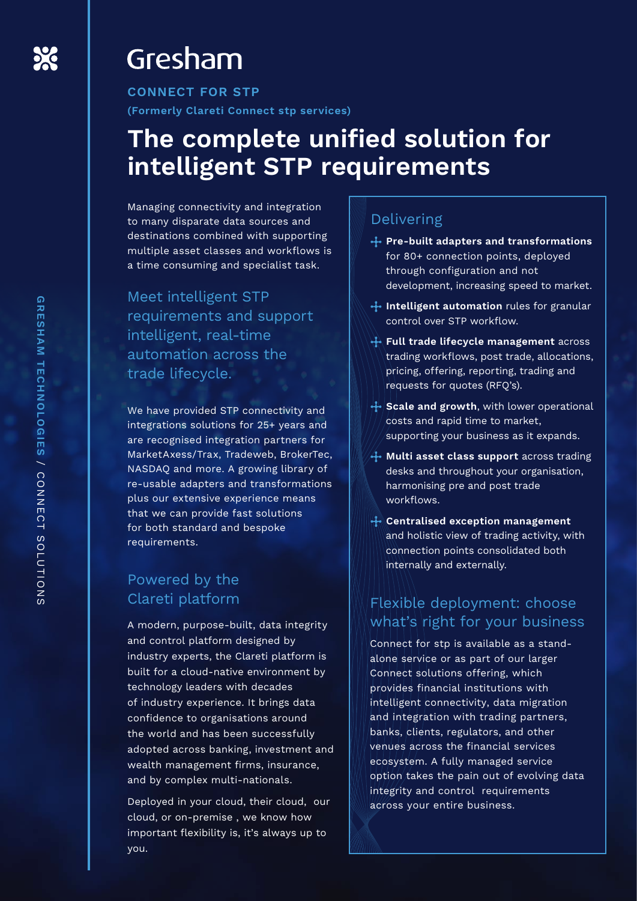# Gresham

**CONNECT FOR STP (Formerly Clareti Connect stp services)**

# **The complete unified solution for intelligent STP requirements**

Managing connectivity and integration to many disparate data sources and destinations combined with supporting multiple asset classes and workflows is a time consuming and specialist task.

Meet intelligent STP requirements and support intelligent, real-time automation across the trade lifecycle.

We have provided STP connectivity and integrations solutions for 25+ years and are recognised integration partners for MarketAxess/Trax, Tradeweb, BrokerTec, NASDAQ and more. A growing library of re-usable adapters and transformations plus our extensive experience means that we can provide fast solutions for both standard and bespoke requirements.

# Powered by the Clareti platform

A modern, purpose-built, data integrity and control platform designed by industry experts, the Clareti platform is built for a cloud-native environment by technology leaders with decades of industry experience. It brings data confidence to organisations around the world and has been successfully adopted across banking, investment and wealth management firms, insurance, and by complex multi-nationals.

Deployed in your cloud, their cloud, our cloud, or on-premise , we know how important flexibility is, it's always up to you.

# Delivering

- **Pre-built adapters and transformations**  for 80+ connection points, deployed through configuration and not development, increasing speed to market.
- **I**. Intelligent automation rules for granular control over STP workflow.
- **Full trade lifecycle management** across trading workflows, post trade, allocations, pricing, offering, reporting, trading and requests for quotes (RFQ's).
- Scale and growth, with lower operational costs and rapid time to market, supporting your business as it expands.
- **Multi asset class support** across trading desks and throughout your organisation, harmonising pre and post trade workflows.
- **Centralised exception management** and holistic view of trading activity, with connection points consolidated both internally and externally.

# Flexible deployment: choose what's right for your business

Connect for stp is available as a standalone service or as part of our larger Connect solutions offering, which provides financial institutions with intelligent connectivity, data migration and integration with trading partners, banks, clients, regulators, and other venues across the financial services ecosystem. A fully managed service option takes the pain out of evolving data integrity and control requirements across your entire business.